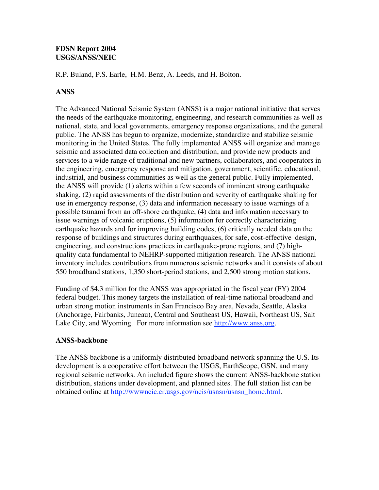## **FDSN Report 2004 USGS/ANSS/NEIC**

R.P. Buland, P.S. Earle, H.M. Benz, A. Leeds, and H. Bolton.

## **ANSS**

The Advanced National Seismic System (ANSS) is a major national initiative that serves the needs of the earthquake monitoring, engineering, and research communities as well as national, state, and local governments, emergency response organizations, and the general public. The ANSS has begun to organize, modernize, standardize and stabilize seismic monitoring in the United States. The fully implemented ANSS will organize and manage seismic and associated data collection and distribution, and provide new products and services to a wide range of traditional and new partners, collaborators, and cooperators in the engineering, emergency response and mitigation, government, scientific, educational, industrial, and business communities as well as the general public. Fully implemented, the ANSS will provide (1) alerts within a few seconds of imminent strong earthquake shaking, (2) rapid assessments of the distribution and severity of earthquake shaking for use in emergency response, (3) data and information necessary to issue warnings of a possible tsunami from an off-shore earthquake, (4) data and information necessary to issue warnings of volcanic eruptions, (5) information for correctly characterizing earthquake hazards and for improving building codes, (6) critically needed data on the response of buildings and structures during earthquakes, for safe, cost-effective design, engineering, and constructions practices in earthquake-prone regions, and (7) highquality data fundamental to NEHRP-supported mitigation research. The ANSS national inventory includes contributions from numerous seismic networks and it consists of about 550 broadband stations, 1,350 short-period stations, and 2,500 strong motion stations.

Funding of \$4.3 million for the ANSS was appropriated in the fiscal year (FY) 2004 federal budget. This money targets the installation of real-time national broadband and urban strong motion instruments in San Francisco Bay area, Nevada, Seattle, Alaska (Anchorage, Fairbanks, Juneau), Central and Southeast US, Hawaii, Northeast US, Salt Lake City, and Wyoming. For more information see http://www.anss.org.

## **ANSS-backbone**

The ANSS backbone is a uniformly distributed broadband network spanning the U.S. Its development is a cooperative effort between the USGS, EarthScope, GSN, and many regional seismic networks. An included figure shows the current ANSS-backbone station distribution, stations under development, and planned sites. The full station list can be obtained online at http://wwwneic.cr.usgs.gov/neis/usnsn/usnsn\_home.html.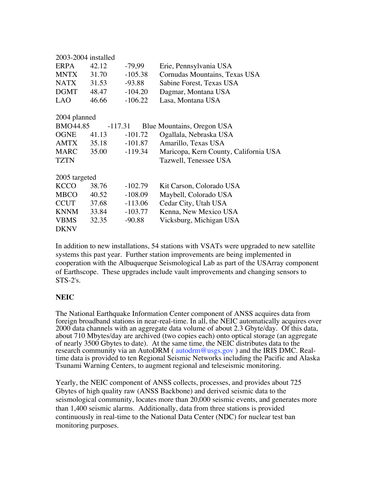| $2003 - 2004$ installed                             |       |           |                                       |
|-----------------------------------------------------|-------|-----------|---------------------------------------|
| <b>ERPA</b>                                         | 42.12 | $-79,99$  | Erie, Pennsylvania USA                |
| <b>MNTX</b>                                         | 31.70 | $-105.38$ | Cornudas Mountains, Texas USA         |
| <b>NATX</b>                                         | 31.53 | $-93.88$  | Sabine Forest, Texas USA              |
| <b>DGMT</b>                                         | 48.47 | $-104.20$ | Dagmar, Montana USA                   |
| <b>LAO</b>                                          | 46.66 | $-106.22$ | Lasa, Montana USA                     |
| 2004 planned                                        |       |           |                                       |
|                                                     |       |           |                                       |
| BMO44.85<br>$-117.31$<br>Blue Mountains, Oregon USA |       |           |                                       |
| OGNE                                                | 41.13 | $-101.72$ | Ogallala, Nebraska USA                |
| AMTX                                                | 35.18 | -101.87   | Amarillo, Texas USA                   |
| MARC                                                | 35.00 | $-119.34$ | Maricopa, Kern County, California USA |
| <b>TZTN</b>                                         |       |           | Tazwell, Tenessee USA                 |
| 2005 targeted                                       |       |           |                                       |
| <b>KCCO</b>                                         | 38.76 | $-102.79$ | Kit Carson, Colorado USA              |
|                                                     |       |           |                                       |
| <b>MBCO</b>                                         | 40.52 | $-108.09$ | Maybell, Colorado USA                 |
| <b>CCUT</b>                                         | 37.68 | $-113.06$ | Cedar City, Utah USA                  |
| <b>KNNM</b>                                         | 33.84 | $-103.77$ | Kenna, New Mexico USA                 |
| <b>VBMS</b>                                         | 32.35 | $-90.88$  | Vicksburg, Michigan USA               |
| <b>DKNV</b>                                         |       |           |                                       |

In addition to new installations, 54 stations with VSATs were upgraded to new satellite systems this past year. Further station improvements are being implemented in cooperation with the Albuquerque Seismological Lab as part of the USArray component of Earthscope. These upgrades include vault improvements and changing sensors to STS-2's.

## **NEIC**

The National Earthquake Information Center component of ANSS acquires data from foreign broadband stations in near-real-time. In all, the NEIC automatically acquires over 2000 data channels with an aggregate data volume of about 2.3 Gbyte/day. Of this data, about 710 Mbytes/day are archived (two copies each) onto optical storage (an aggregate of nearly 3500 Gbytes to date). At the same time, the NEIC distributes data to the research community via an AutoDRM (autodrm@usgs.gov) and the IRIS DMC. Realtime data is provided to ten Regional Seismic Networks including the Pacific and Alaska Tsunami Warning Centers, to augment regional and teleseismic monitoring.

Yearly, the NEIC component of ANSS collects, processes, and provides about 725 Gbytes of high quality raw (ANSS Backbone) and derived seismic data to the seismological community, locates more than 20,000 seismic events, and generates more than 1,400 seismic alarms. Additionally, data from three stations is provided continuously in real-time to the National Data Center (NDC) for nuclear test ban monitoring purposes.